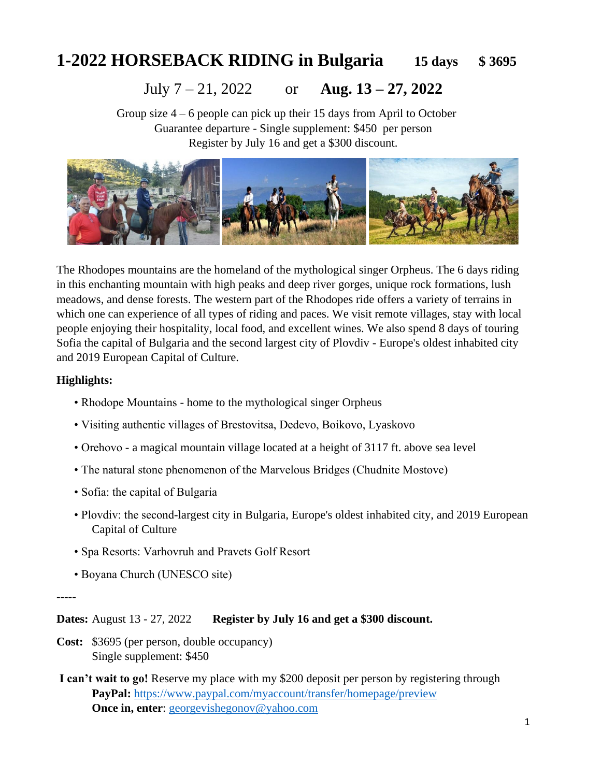# **1-2022 HORSEBACK RIDING in Bulgaria 15 days \$ 3695**

# July 7 – 21, 2022 or **Aug. 13 – 27, 2022**

Group size 4 – 6 people can pick up their 15 days from April to October Guarantee departure - Single supplement: \$450 per person Register by July 16 and get a \$300 discount.



The Rhodopes mountains are the homeland of the mythological singer Orpheus. The 6 days riding in this enchanting mountain with high peaks and deep river gorges, unique rock formations, lush meadows, and dense forests. The western part of the Rhodopes ride offers a variety of terrains in which one can experience of all types of riding and paces. We visit remote villages, stay with local people enjoying their hospitality, local food, and excellent wines. We also spend 8 days of touring Sofia the capital of Bulgaria and the second largest city of Plovdiv - Europe's oldest inhabited city and 2019 European Capital of Culture.

#### **Highlights:**

- Rhodope Mountains home to the mythological singer Orpheus
- Visiting authentic villages of Brestovitsa, Dedevo, Boikovo, Lyaskovo
- Orehovo a magical mountain village located at a height of 3117 ft. above sea level
- The natural stone phenomenon of the Marvelous Bridges (Chudnite Mostove)
- Sofia: the capital of Bulgaria
- Plovdiv: the second-largest city in Bulgaria, Europe's oldest inhabited city, and 2019 European Capital of Culture
- Spa Resorts: Varhovruh and Pravets Golf Resort
- Boyana Church (UNESCO site)

-----

**Dates:** August 13 - 27, 2022 **Register by July 16 and get a \$300 discount.**

- **Cost:** \$3695 (per person, double occupancy) Single supplement: \$450
- **I can't wait to go!** Reserve my place with my \$200 deposit per person by registering through **PayPal:** <https://www.paypal.com/myaccount/transfer/homepage/preview> **Once in, enter:** [georgevishegonov@yahoo.com](mailto:georgevishegonov@yahoo.com)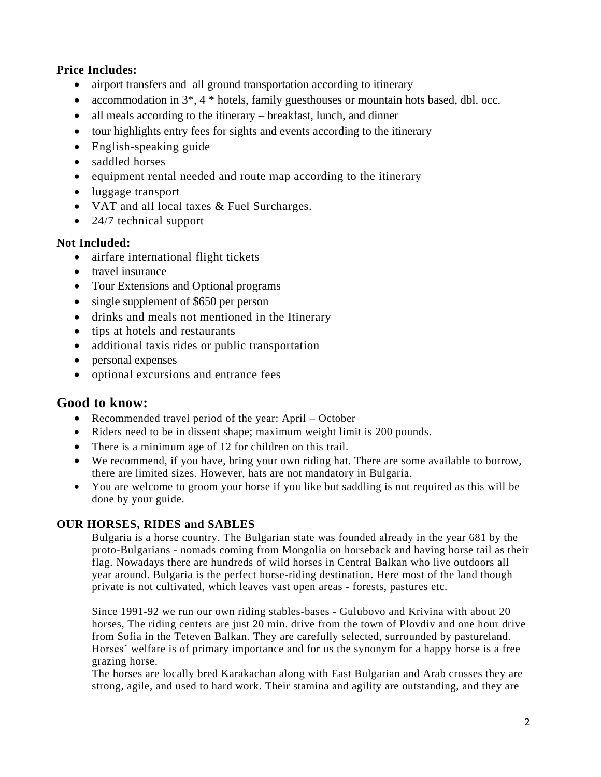### **Price Includes:**

- airport transfers and all ground transportation according to itinerary
- accommodation in  $3^*$ ,  $4^*$  hotels, family guesthouses or mountain hots based, dbl. occ.
- all meals according to the itinerary breakfast, lunch, and dinner
- tour highlights entry fees for sights and events according to the itinerary
- English-speaking guide
- saddled horses
- equipment rental needed and route map according to the itinerary
- luggage transport
- VAT and all local taxes & Fuel Surcharges.
- 24/7 technical support

#### **Not Included:**

- airfare international flight tickets
- travel insurance
- Tour Extensions and Optional programs
- single supplement of \$650 per person
- drinks and meals not mentioned in the Itinerary
- tips at hotels and restaurants
- additional taxis rides or public transportation
- personal expenses
- optional excursions and entrance fees

# **Good to know:**

- Recommended travel period of the year: April October
- Riders need to be in dissent shape; maximum weight limit is 200 pounds.
- There is a minimum age of 12 for children on this trail.
- We recommend, if you have, bring your own riding hat. There are some available to borrow, there are limited sizes. However, hats are not mandatory in Bulgaria.
- You are welcome to groom your horse if you like but saddling is not required as this will be done by your guide.

#### **OUR HORSES, RIDES and SABLES**

Bulgaria is a horse country. The Bulgarian state was founded already in the year 681 by the proto-Bulgarians - nomads coming from Mongolia on horseback and having horse tail as their flag. Nowadays there are hundreds of wild horses in Central Balkan who live outdoors all year around. Bulgaria is the perfect horse-riding destination. Here most of the land though private is not cultivated, which leaves vast open areas - forests, pastures etc.

Since 1991-92 we run our own riding stables-bases - Gulubovo and Krivina with about 20 horses, The riding centers are just 20 min. drive from the town of Plovdiv and one hour drive from Sofia in the Teteven Balkan. They are carefully selected, surrounded by pastureland. Horses' welfare is of primary importance and for us the synonym for a happy horse is a free grazing horse.

The horses are locally bred Karakachan along with East Bulgarian and Arab crosses they are strong, agile, and used to hard work. Their stamina and agility are outstanding, and they are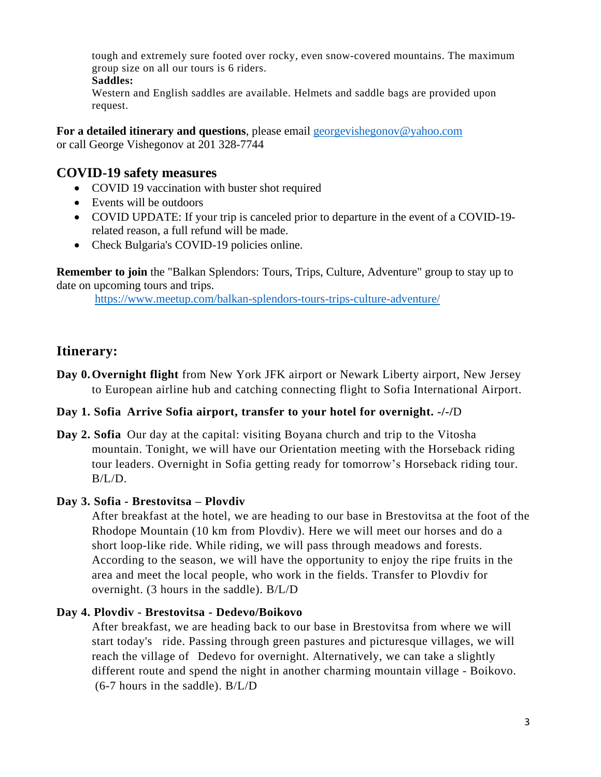tough and extremely sure footed over rocky, even snow-covered mountains. The maximum group size on all our tours is 6 riders.

#### **Saddles:**

Western and English saddles are available. Helmets and saddle bags are provided upon request.

**For a detailed itinerary and questions**, please email [georgevishegonov@yahoo.com](mailto:georgevishegonov@yahoo.com)  or call George Vishegonov at 201 328-7744

# **COVID-19 safety measures**

- COVID 19 vaccination with buster shot required
- Events will be outdoors
- COVID UPDATE: If your trip is canceled prior to departure in the event of a COVID-19 related reason, a full refund will be made.
- Check Bulgaria's COVID-19 policies online.

**Remember to join** the "Balkan Splendors: Tours, Trips, Culture, Adventure" group to stay up to date on upcoming tours and trips.

<https://www.meetup.com/balkan-splendors-tours-trips-culture-adventure/>

# **Itinerary:**

**Day 0.Overnight flight** from New York JFK airport or Newark Liberty airport, New Jersey to European airline hub and catching connecting flight to Sofia International Airport.

# **Day 1. Sofia Arrive Sofia airport, transfer to your hotel for overnight. -/-/**D

**Day 2. Sofia** Our day at the capital: visiting Boyana church and trip to the Vitosha mountain. Tonight, we will have our Orientation meeting with the Horseback riding tour leaders. Overnight in Sofia getting ready for tomorrow's Horseback riding tour.  $B/L/D$ .

# **Day 3. Sofia - Brestovitsa – Plovdiv**

After breakfast at the hotel, we are heading to our base in Brestovitsa at the foot of the Rhodope Mountain (10 km from Plovdiv). Here we will meet our horses and do a short loop-like ride. While riding, we will pass through meadows and forests. According to the season, we will have the opportunity to enjoy the ripe fruits in the area and meet the local people, who work in the fields. Transfer to Plovdiv for overnight. (3 hours in the saddle). B/L/D

# **Day 4. Plovdiv - Brestovitsa - Dedevo/Boikovo**

After breakfast, we are heading back to our base in Brestovitsa from where we will start today's ride. Passing through green pastures and picturesque villages, we will reach the village of Dedevo for overnight. Alternatively, we can take a slightly different route and spend the night in another charming mountain village - Boikovo. (6-7 hours in the saddle). B/L/D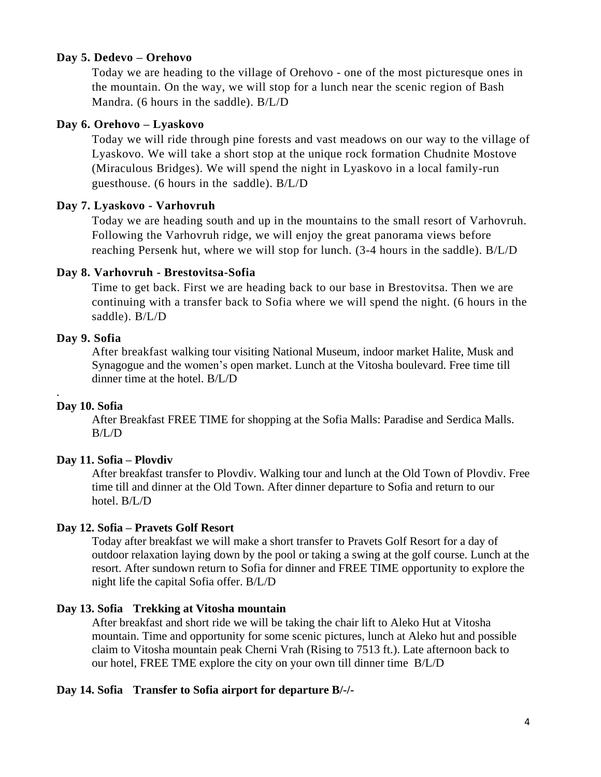#### **Day 5. Dedevo – Orehovo**

Today we are heading to the village of Orehovo - one of the most picturesque ones in the mountain. On the way, we will stop for a lunch near the scenic region of Bash Mandra. (6 hours in the saddle). B/L/D

#### **Day 6. Orehovo – Lyaskovo**

Today we will ride through pine forests and vast meadows on our way to the village of Lyaskovo. We will take a short stop at the unique rock formation Chudnite Mostove (Miraculous Bridges). We will spend the night in Lyaskovo in a local family-run guesthouse. (6 hours in the saddle). B/L/D

#### **Day 7. Lyaskovo - Varhovruh**

Today we are heading south and up in the mountains to the small resort of Varhovruh. Following the Varhovruh ridge, we will enjoy the great panorama views before reaching Persenk hut, where we will stop for lunch. (3-4 hours in the saddle). B/L/D

#### **Day 8. Varhovruh - Brestovitsa-Sofia**

Time to get back. First we are heading back to our base in Brestovitsa. Then we are continuing with a transfer back to Sofia where we will spend the night. (6 hours in the saddle). B/L/D

#### **Day 9. Sofia**

After breakfast walking tour visiting National Museum, indoor market Halite, Musk and Synagogue and the women's open market. Lunch at the Vitosha boulevard. Free time till dinner time at the hotel. B/L/D

#### **Day 10. Sofia**

.

After Breakfast FREE TIME for shopping at the Sofia Malls: Paradise and Serdica Malls. B/L/D

#### **Day 11. Sofia – Plovdiv**

After breakfast transfer to Plovdiv. Walking tour and lunch at the Old Town of Plovdiv. Free time till and dinner at the Old Town. After dinner departure to Sofia and return to our hotel. B/L/D

#### **Day 12. Sofia – Pravets Golf Resort**

Today after breakfast we will make a short transfer to Pravets Golf Resort for a day of outdoor relaxation laying down by the pool or taking a swing at the golf course. Lunch at the resort. After sundown return to Sofia for dinner and FREE TIME opportunity to explore the night life the capital Sofia offer. B/L/D

#### **Day 13. Sofia Trekking at Vitosha mountain**

After breakfast and short ride we will be taking the chair lift to Aleko Hut at Vitosha mountain. Time and opportunity for some scenic pictures, lunch at Aleko hut and possible claim to Vitosha mountain peak Cherni Vrah (Rising to 7513 ft.). Late afternoon back to our hotel, FREE TME explore the city on your own till dinner time B/L/D

#### **Day 14. Sofia Transfer to Sofia airport for departure B/-/-**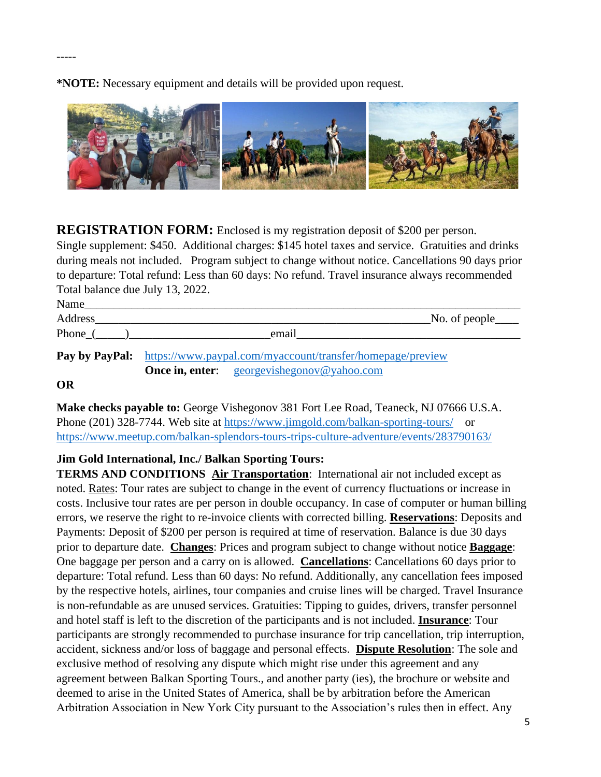**\*NOTE:** Necessary equipment and details will be provided upon request.



**REGISTRATION FORM:** Enclosed is my registration deposit of \$200 per person. Single supplement: \$450. Additional charges: \$145 hotel taxes and service. Gratuities and drinks during meals not included. Program subject to change without notice. Cancellations 90 days prior to departure: Total refund: Less than 60 days: No refund. Travel insurance always recommended Total balance due July 13, 2022.

| Name      |                                                                                  |  |
|-----------|----------------------------------------------------------------------------------|--|
| Address   | $\sim$ No. of people $\sim$                                                      |  |
| Phone $($ | email                                                                            |  |
|           | <b>Pay by PayPal:</b> https://www.paypal.com/myaccount/transfer/homepage/preview |  |
|           | <b>Once in, enter:</b> georgevishegonov@yahoo.com                                |  |

#### **OR**

**Make checks payable to:** George Vishegonov 381 Fort Lee Road, Teaneck, NJ 07666 U.S.A. Phone (201) 328-7744. Web site at<https://www.jimgold.com/balkan-sporting-tours/>or <https://www.meetup.com/balkan-splendors-tours-trips-culture-adventure/events/283790163/>

**Jim Gold International, Inc./ Balkan Sporting Tours:** 

**TERMS AND CONDITIONS Air Transportation**: International air not included except as noted. Rates: Tour rates are subject to change in the event of currency fluctuations or increase in costs. Inclusive tour rates are per person in double occupancy. In case of computer or human billing errors, we reserve the right to re-invoice clients with corrected billing. **Reservations**: Deposits and Payments: Deposit of \$200 per person is required at time of reservation. Balance is due 30 days prior to departure date. **Changes**: Prices and program subject to change without notice **Baggage**: One baggage per person and a carry on is allowed. **Cancellations**: Cancellations 60 days prior to departure: Total refund. Less than 60 days: No refund. Additionally, any cancellation fees imposed by the respective hotels, airlines, tour companies and cruise lines will be charged. Travel Insurance is non-refundable as are unused services. Gratuities: Tipping to guides, drivers, transfer personnel and hotel staff is left to the discretion of the participants and is not included. **Insurance**: Tour participants are strongly recommended to purchase insurance for trip cancellation, trip interruption, accident, sickness and/or loss of baggage and personal effects. **Dispute Resolution**: The sole and exclusive method of resolving any dispute which might rise under this agreement and any agreement between Balkan Sporting Tours., and another party (ies), the brochure or website and deemed to arise in the United States of America, shall be by arbitration before the American Arbitration Association in New York City pursuant to the Association's rules then in effect. Any